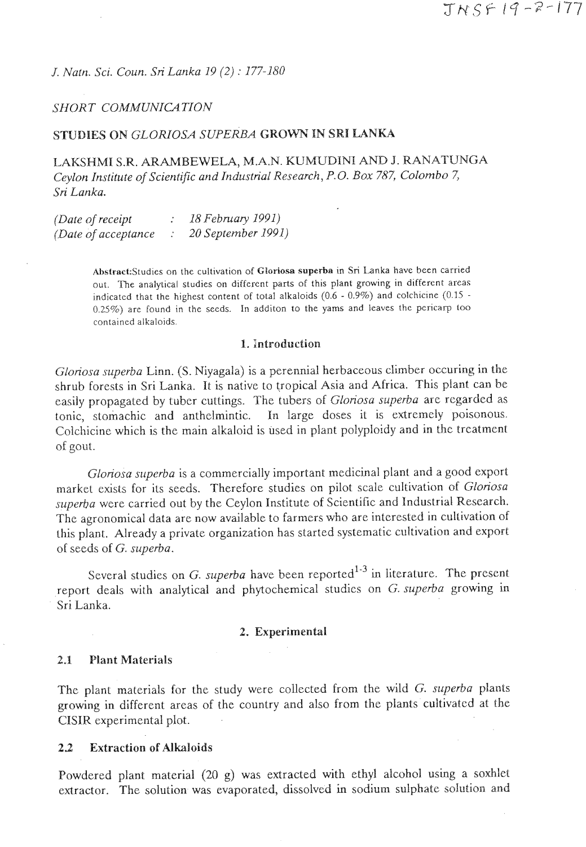*J. Natn. Sci. Coun. Sri Lanka 19 (2)* : *177-180* 

### *SHORT COMMUNICATION*

### **STUDIES ON** *GLORIOSA SUPERBA* **GROWN IN SRI LANKA**

LAKSHMI S.R. ARAMBEWELA, M.A.N. KUMUDINl AND **9.** RANATUNGA *Ceylon Institute of Scientific and Industrial Research, P.O. Box 787, Colombo 7,*  Sri *Lanka.* 

| (Date of receipt)    | 18 February 1991)  |
|----------------------|--------------------|
| (Date of acceptance) | 20 September 1991) |

AhslrackStudies on the cultivation of **Cloriosa** superba in **Sri** Lanka have been carried out. The analytical studies on different parts of this plant growing in different areas indicated that the highest content of total alkaloids  $(0.6 - 0.9\%)$  and colchicine  $(0.15 0.25\%$ ) are found in the seeds. In additon to the yams and leaves the pericarp too contained alkaloids.

#### **1. Introduction**

*Gloriosa superba* Linn. (S. Niyagala) is a perennial herbaceous climber occuring in the shrub forests in Sri Lanka. It is native to tropical Asia and Africa. This plant can be easily propagated by tuber cuttings. The tubers of *Gloriosa superba* arc regarded as tonic, stomachic and anthelmintic. In large doses it is extremely poisonous. Colchicine which is the main alkaloid is used in plant polyploidy and in thc treatment of gout.

*Gloriosa superba* is a commercially important medicinal plant and a good export market exists for its seeds. Therefore studies on pilot scale cultivation of *Gloriosa*  superha were carried out by the Ceylon Institute of Scientific and Industrial Research. The agronomical data are now available to farmers who are interested in cultivation of this plant. Already a private organization has started systematic cultivation and export of seeds of G. *superba.* 

Several studies on  $G$ . *superba* have been reported<sup>1-3</sup> in literature. The present report deals with analytical and phytochemical studies on G. *superba* growing in Sri Lanka.

#### **2. Experimental**

### **2,1 Plant Materials**

The plant materials for the study were collected from the wild **G.** *superba* plants growing in different areas of the country and also from the plants cultivated at the CISIR experimental plot.

#### **22 Extraction of Alkaloids**

Powdered plant material (20 g) was extracted with ethyl alcohol using a soxhlet extractor. The solution was evaporated, dissolved in sodium sulphate solution and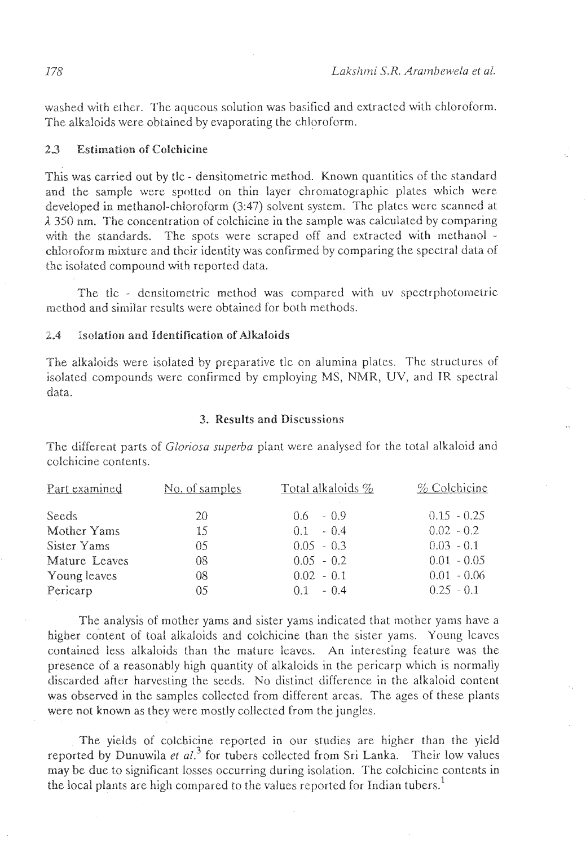washed with ether. The aqueous solution was basified and extracted with chloroform. The alkaloids were obtained by evaporating the chloroform.

## *23* **Estimation of Colchicine**

This was carried out by tlc - densitometric method. Known quantities of the standard and the sample were spotted on thin layer chromatographic plates which were developed in methanol-chloroform (3:47) solvent system. The plalcs were scanned at **<sup>A</sup>**350 nm. The concentration of colchicine in the sample was calculated by comparing with the standards. The spots were scraped off and extracted with methanol chloroform mixture and their identity was confirmed by comparing the spectral data of the isolated compound with reported data.

The tlc - densitometric method was compared with uv spectrphotometric method and similar results were obtained for both methods.

### 2.4 **Isolation and Identification of Alkaloids**

The alkaloids were isoiated by preparative tlc on alumina platcs. The structures of isolated compounds were confirmed by employing MS, NMR, UV, and **TR** spectral data.

### **3. Results and Discussions**

The different parts of *Gloriosu superba* plant were analysed for the total alkaloid and colchicine contents.

| Part examined | No. of samples | Total alkaloids % | $%$ Colchicine |
|---------------|----------------|-------------------|----------------|
| Seeds.        | 20             | $0.6 - 0.9$       | $0.15 - 0.25$  |
| Mother Yams   | 15             | $0.1 - 0.4$       | $0.02 - 0.2$   |
| Sister Yams   | 05             | $0.05 - 0.3$      | $0.03 - 0.1$   |
| Mature Leaves | 08             | $0.05 - 0.2$      | $0.01 - 0.05$  |
| Young leaves  | 08             | $0.02 - 0.1$      | $0.01 - 0.06$  |
| Pericarp      | 05             | $0.1 - 0.4$       | $0.25 - 0.1$   |

The analysis of mother yams and sister yams indicated that mother yams have a higher content of toal alkaloids and colchicine than the sister yams. Young leaves contained less alkaloids than the mature Icavcs. An interesting feature was the presence of a reasonably high quantity of alkaloids in the pericarp which is normally discarded after harvesting the seeds. No distinct difference in the alkaloid content was observed in the samples collected from different arcas. The ages of these plants were not known as they were mostly collected from the jungles.

The yields of colchicine reported in our studies are higher than the yield reported by Dunuwila *et al.*<sup>3</sup> for tubers collected from Sri Lanka. Their low values may be due to significant losses occurring during isolation. The colchicine contents in the local plants are high compared to the values reported for Indian tubers.'